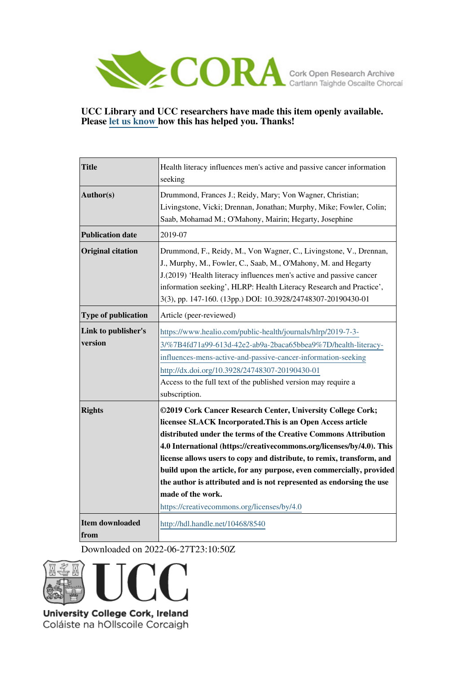

### **UCC Library and UCC researchers have made this item openly available. Please [let us know h](https://libguides.ucc.ie/openaccess/impact?suffix=8540&title=Health literacy influences men)ow this has helped you. Thanks!**

| <b>Title</b>                   | Health literacy influences men's active and passive cancer information<br>seeking                                                                                                                                                                                                                                                                                                                                                                                                                                                                                   |
|--------------------------------|---------------------------------------------------------------------------------------------------------------------------------------------------------------------------------------------------------------------------------------------------------------------------------------------------------------------------------------------------------------------------------------------------------------------------------------------------------------------------------------------------------------------------------------------------------------------|
| Author(s)                      | Drummond, Frances J.; Reidy, Mary; Von Wagner, Christian;<br>Livingstone, Vicki; Drennan, Jonathan; Murphy, Mike; Fowler, Colin;<br>Saab, Mohamad M.; O'Mahony, Mairin; Hegarty, Josephine                                                                                                                                                                                                                                                                                                                                                                          |
| <b>Publication date</b>        | 2019-07                                                                                                                                                                                                                                                                                                                                                                                                                                                                                                                                                             |
| <b>Original citation</b>       | Drummond, F., Reidy, M., Von Wagner, C., Livingstone, V., Drennan,<br>J., Murphy, M., Fowler, C., Saab, M., O'Mahony, M. and Hegarty<br>J.(2019) 'Health literacy influences men's active and passive cancer<br>information seeking', HLRP: Health Literacy Research and Practice',<br>3(3), pp. 147-160. (13pp.) DOI: 10.3928/24748307-20190430-01                                                                                                                                                                                                                 |
| <b>Type of publication</b>     | Article (peer-reviewed)                                                                                                                                                                                                                                                                                                                                                                                                                                                                                                                                             |
| Link to publisher's<br>version | https://www.healio.com/public-health/journals/hlrp/2019-7-3-<br>3/%7B4fd71a99-613d-42e2-ab9a-2baca65bbea9%7D/health-literacy-<br>influences-mens-active-and-passive-cancer-information-seeking<br>http://dx.doi.org/10.3928/24748307-20190430-01<br>Access to the full text of the published version may require a<br>subscription.                                                                                                                                                                                                                                 |
| <b>Rights</b>                  | ©2019 Cork Cancer Research Center, University College Cork;<br>licensee SLACK Incorporated. This is an Open Access article<br>distributed under the terms of the Creative Commons Attribution<br>4.0 International (https://creativecommons.org/licenses/by/4.0). This<br>license allows users to copy and distribute, to remix, transform, and<br>build upon the article, for any purpose, even commercially, provided<br>the author is attributed and is not represented as endorsing the use<br>made of the work.<br>https://creativecommons.org/licenses/by/4.0 |
| <b>Item downloaded</b><br>from | http://hdl.handle.net/10468/8540                                                                                                                                                                                                                                                                                                                                                                                                                                                                                                                                    |

Downloaded on 2022-06-27T23:10:50Z



University College Cork, Ireland Coláiste na hOllscoile Corcaigh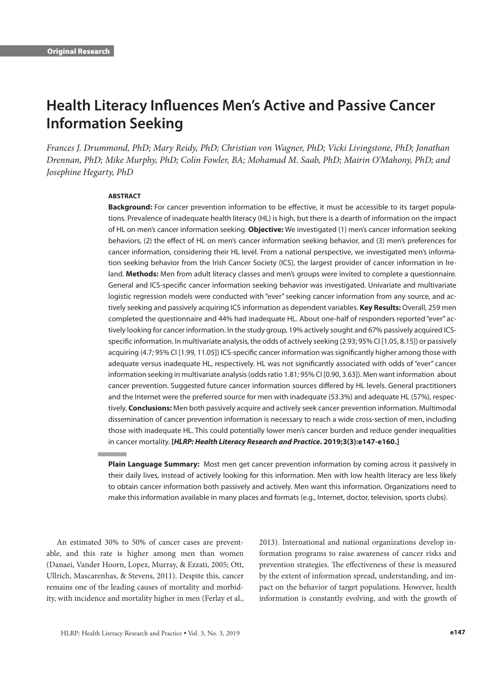# **Health Literacy Influences Men's Active and Passive Cancer Information Seeking**

*Frances J. Drummond, PhD; Mary Reidy, PhD; Christian von Wagner, PhD; Vicki Livingstone, PhD; Jonathan Drennan, PhD; Mike Murphy, PhD; Colin Fowler, BA; Mohamad M. Saab, PhD; Mairin O'Mahony, PhD; and Josephine Hegarty, PhD*

#### **ABSTRACT**

**Background:** For cancer prevention information to be effective, it must be accessible to its target populations. Prevalence of inadequate health literacy (HL) is high, but there is a dearth of information on the impact of HL on men's cancer information seeking. **Objective:** We investigated (1) men's cancer information seeking behaviors, (2) the effect of HL on men's cancer information seeking behavior, and (3) men's preferences for cancer information, considering their HL level. From a national perspective, we investigated men's information seeking behavior from the Irish Cancer Society (ICS), the largest provider of cancer information in Ireland. **Methods:** Men from adult literacy classes and men's groups were invited to complete a questionnaire. General and ICS-specific cancer information seeking behavior was investigated. Univariate and multivariate logistic regression models were conducted with "ever" seeking cancer information from any source, and actively seeking and passively acquiring ICS information as dependent variables. **Key Results:** Overall, 259 men completed the questionnaire and 44% had inadequate HL. About one-half of responders reported "ever" actively looking for cancer information. In the study group, 19% actively sought and 67% passively acquired ICSspecific information. In multivariate analysis, the odds of actively seeking (2.93; 95% CI [1.05, 8.15]) or passively acquiring (4.7; 95% CI [1.99, 11.05]) ICS-specific cancer information was significantly higher among those with adequate versus inadequate HL, respectively. HL was not significantly associated with odds of "ever" cancer information seeking in multivariate analysis (odds ratio 1.81; 95% CI [0.90, 3.63]). Men want information about cancer prevention. Suggested future cancer information sources differed by HL levels. General practitioners and the Internet were the preferred source for men with inadequate (53.3%) and adequate HL (57%), respectively. **Conclusions:** Men both passively acquire and actively seek cancer prevention information. Multimodal dissemination of cancer prevention information is necessary to reach a wide cross-section of men, including those with inadequate HL. This could potentially lower men's cancer burden and reduce gender inequalities in cancer mortality. **[***HLRP: Health Literacy Research and Practice***. 2019;3(3):e147-e160.]**

**Plain Language Summary:** Most men get cancer prevention information by coming across it passively in their daily lives, instead of actively looking for this information. Men with low health literacy are less likely to obtain cancer information both passively and actively. Men want this information. Organizations need to make this information available in many places and formats (e.g., Internet, doctor, television, sports clubs).

An estimated 30% to 50% of cancer cases are preventable, and this rate is higher among men than women (Danaei, Vander Hoorn, Lopez, Murray, & Ezzati, 2005; Ott, Ullrich, Mascarenhas, & Stevens, 2011). Despite this, cancer remains one of the leading causes of mortality and morbidity, with incidence and mortality higher in men (Ferlay et al.,

2013). International and national organizations develop information programs to raise awareness of cancer risks and prevention strategies. The effectiveness of these is measured by the extent of information spread, understanding, and impact on the behavior of target populations. However, health information is constantly evolving, and with the growth of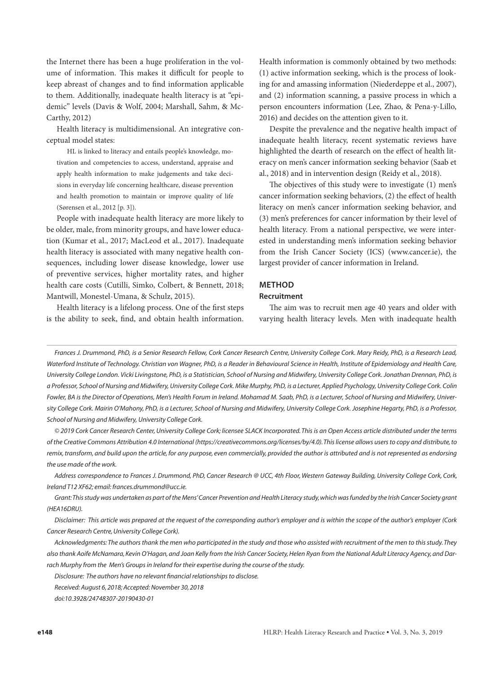the Internet there has been a huge proliferation in the volume of information. This makes it difficult for people to keep abreast of changes and to find information applicable to them. Additionally, inadequate health literacy is at "epidemic" levels (Davis & Wolf, 2004; Marshall, Sahm, & Mc-Carthy, 2012)

Health literacy is multidimensional. An integrative conceptual model states:

HL is linked to literacy and entails people's knowledge, motivation and competencies to access, understand, appraise and apply health information to make judgements and take decisions in everyday life concerning healthcare, disease prevention and health promotion to maintain or improve quality of life (Sørensen et al., 2012 [p. 3]).

People with inadequate health literacy are more likely to be older, male, from minority groups, and have lower education (Kumar et al., 2017; MacLeod et al., 2017). Inadequate health literacy is associated with many negative health consequences, including lower disease knowledge, lower use of preventive services, higher mortality rates, and higher health care costs (Cutilli, Simko, Colbert, & Bennett, 2018; Mantwill, Monestel-Umana, & Schulz, 2015).

Health literacy is a lifelong process. One of the first steps is the ability to seek, find, and obtain health information.

Health information is commonly obtained by two methods: (1) active information seeking, which is the process of looking for and amassing information (Niederdeppe et al., 2007), and (2) information scanning, a passive process in which a person encounters information (Lee, Zhao, & Pena-y-Lillo, 2016) and decides on the attention given to it.

Despite the prevalence and the negative health impact of inadequate health literacy, recent systematic reviews have highlighted the dearth of research on the effect of health literacy on men's cancer information seeking behavior (Saab et al., 2018) and in intervention design (Reidy et al., 2018).

The objectives of this study were to investigate (1) men's cancer information seeking behaviors, (2) the effect of health literacy on men's cancer information seeking behavior, and (3) men's preferences for cancer information by their level of health literacy. From a national perspective, we were interested in understanding men's information seeking behavior from the Irish Cancer Society (ICS) (www.cancer.ie), the largest provider of cancer information in Ireland.

#### **METHOD**

#### **Recruitment**

The aim was to recruit men age 40 years and older with varying health literacy levels. Men with inadequate health

*Frances J. Drummond, PhD, is a Senior Research Fellow, Cork Cancer Research Centre, University College Cork. Mary Reidy, PhD, is a Research Lead,*  Waterford Institute of Technology. Christian von Wagner, PhD, is a Reader in Behavioural Science in Health, Institute of Epidemiology and Health Care, *University College London. Vicki Livingstone, PhD, is a Statistician, School of Nursing and Midwifery, University College Cork. Jonathan Drennan, PhD, is a Professor, School of Nursing and Midwifery, University College Cork. Mike Murphy, PhD, is a Lecturer, Applied Psychology, University College Cork. Colin Fowler, BA is the Director of Operations, Men's Health Forum in Ireland. Mohamad M. Saab, PhD, is a Lecturer, School of Nursing and Midwifery, University College Cork. Mairin O'Mahony, PhD, is a Lecturer, School of Nursing and Midwifery, University College Cork. Josephine Hegarty, PhD, is a Professor, School of Nursing and Midwifery, University College Cork.*

*© 2019 Cork Cancer Research Center, University College Cork; licensee SLACK Incorporated. This is an Open Access article distributed under the terms of the Creative Commons Attribution 4.0 International (https://creativecommons.org/licenses/by/4.0). This license allows users to copy and distribute, to remix, transform, and build upon the article, for any purpose, even commercially, provided the author is attributed and is not represented as endorsing the use made of the work.* 

*Address correspondence to Frances J. Drummond, PhD, Cancer Research @ UCC, 4th Floor, Western Gateway Building, University College Cork, Cork, Ireland T12 XF62; email: frances.drummond@ucc.ie.* 

*Grant: This study was undertaken as part of the Mens' Cancer Prevention and Health Literacy study, which was funded by the Irish Cancer Society grant (HEA16DRU).*

*Disclaimer: This article was prepared at the request of the corresponding author's employer and is within the scope of the author's employer (Cork Cancer Research Centre, University College Cork).*

*Acknowledgments: The authors thank the men who participated in the study and those who assisted with recruitment of the men to this study. They also thank Aoife McNamara, Kevin O'Hagan, and Joan Kelly from the Irish Cancer Society, Helen Ryan from the National Adult Literacy Agency, and Dar*rach Murphy from the Men's Groups in Ireland for their expertise during the course of the study.

*Disclosure: The authors have no relevant financial relationships to disclose.*

*Received: August 6, 2018; Accepted: November 30, 2018*

*doi:10.3928/24748307-20190430-01*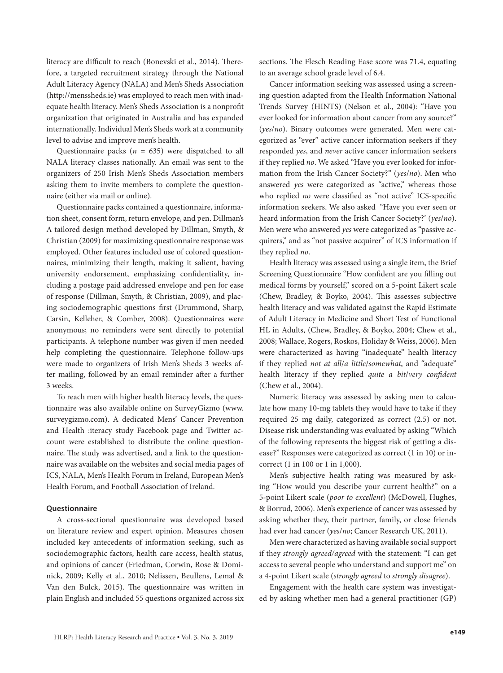literacy are difficult to reach (Bonevski et al., 2014). Therefore, a targeted recruitment strategy through the National Adult Literacy Agency (NALA) and Men's Sheds Association (http://menssheds.ie) was employed to reach men with inadequate health literacy. Men's Sheds Association is a nonprofit organization that originated in Australia and has expanded internationally. Individual Men's Sheds work at a community level to advise and improve men's health.

Questionnaire packs ( $n = 635$ ) were dispatched to all NALA literacy classes nationally. An email was sent to the organizers of 250 Irish Men's Sheds Association members asking them to invite members to complete the questionnaire (either via mail or online).

Questionnaire packs contained a questionnaire, information sheet, consent form, return envelope, and pen. Dillman's A tailored design method developed by Dillman, Smyth, & Christian (2009) for maximizing questionnaire response was employed. Other features included use of colored questionnaires, minimizing their length, making it salient, having university endorsement, emphasizing confidentiality, including a postage paid addressed envelope and pen for ease of response (Dillman, Smyth, & Christian, 2009), and placing sociodemographic questions first (Drummond, Sharp, Carsin, Kelleher, & Comber, 2008). Questionnaires were anonymous; no reminders were sent directly to potential participants. A telephone number was given if men needed help completing the questionnaire. Telephone follow-ups were made to organizers of Irish Men's Sheds 3 weeks after mailing, followed by an email reminder after a further 3 weeks.

To reach men with higher health literacy levels, the questionnaire was also available online on SurveyGizmo (www. surveygizmo.com). A dedicated Mens' Cancer Prevention and Health :iteracy study Facebook page and Twitter account were established to distribute the online questionnaire. The study was advertised, and a link to the questionnaire was available on the websites and social media pages of ICS, NALA, Men's Health Forum in Ireland, European Men's Health Forum, and Football Association of Ireland.

#### **Questionnaire**

A cross-sectional questionnaire was developed based on literature review and expert opinion. Measures chosen included key antecedents of information seeking, such as sociodemographic factors, health care access, health status, and opinions of cancer (Friedman, Corwin, Rose & Dominick, 2009; Kelly et al., 2010; Nelissen, Beullens, Lemal & Van den Bulck, 2015). The questionnaire was written in plain English and included 55 questions organized across six sections. The Flesch Reading Ease score was 71.4, equating to an average school grade level of 6.4.

Cancer information seeking was assessed using a screening question adapted from the Health Information National Trends Survey (HINTS) (Nelson et al., 2004): "Have you ever looked for information about cancer from any source?" (*yes*/*no*). Binary outcomes were generated. Men were categorized as "ever" active cancer information seekers if they responded *yes*, and *never* active cancer information seekers if they replied *no*. We asked "Have you ever looked for information from the Irish Cancer Society?" (*yes*/*no*). Men who answered *yes* were categorized as "active," whereas those who replied *no* were classified as "not active" ICS-specific information seekers. We also asked "Have you ever seen or heard information from the Irish Cancer Society?' (*yes*/*no*). Men were who answered *yes* were categorized as "passive acquirers," and as "not passive acquirer" of ICS information if they replied *no*.

Health literacy was assessed using a single item, the Brief Screening Questionnaire "How confident are you filling out medical forms by yourself," scored on a 5-point Likert scale (Chew, Bradley, & Boyko, 2004). This assesses subjective health literacy and was validated against the Rapid Estimate of Adult Literacy in Medicine and Short Test of Functional HL in Adults, (Chew, Bradley, & Boyko, 2004; Chew et al., 2008; Wallace, Rogers, Roskos, Holiday & Weiss, 2006). Men were characterized as having "inadequate" health literacy if they replied *not at all*/*a little*/*somewhat*, and "adequate" health literacy if they replied *quite a bit*/*very confident* (Chew et al., 2004).

Numeric literacy was assessed by asking men to calculate how many 10-mg tablets they would have to take if they required 25 mg daily, categorized as correct (2.5) or not. Disease risk understanding was evaluated by asking "Which of the following represents the biggest risk of getting a disease?" Responses were categorized as correct (1 in 10) or incorrect (1 in 100 or 1 in 1,000).

Men's subjective health rating was measured by asking "How would you describe your current health?" on a 5-point Likert scale (*poor to excellent*) (McDowell, Hughes, & Borrud, 2006). Men's experience of cancer was assessed by asking whether they, their partner, family, or close friends had ever had cancer (*yes*/*no*; Cancer Research UK, 2011).

Men were characterized as having available social support if they *strongly agreed/agreed* with the statement: "I can get access to several people who understand and support me" on a 4-point Likert scale (*strongly agreed* to *strongly disagree*).

Engagement with the health care system was investigated by asking whether men had a general practitioner (GP)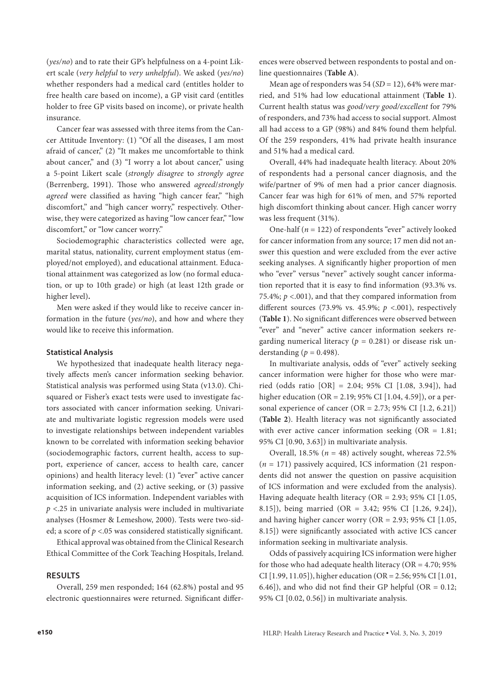(*yes/no*) and to rate their GP's helpfulness on a 4-point Likert scale (*very helpful* to *very unhelpful*). We asked (*yes/no*) whether responders had a medical card (entitles holder to free health care based on income), a GP visit card (entitles holder to free GP visits based on income), or private health insurance.

Cancer fear was assessed with three items from the Cancer Attitude Inventory: (1) "Of all the diseases, I am most afraid of cancer," (2) "It makes me uncomfortable to think about cancer," and (3) "I worry a lot about cancer," using a 5-point Likert scale (*strongly disagree* to *strongly agree* (Berrenberg, 1991). Those who answered *agreed*/*strongly agreed* were classified as having "high cancer fear," "high discomfort," and "high cancer worry," respectively. Otherwise, they were categorized as having "low cancer fear," "low discomfort," or "low cancer worry."

Sociodemographic characteristics collected were age, marital status, nationality, current employment status (employed/not employed), and educational attainment. Educational attainment was categorized as low (no formal education, or up to 10th grade) or high (at least 12th grade or higher level)**.** 

Men were asked if they would like to receive cancer information in the future (*yes/no*), and how and where they would like to receive this information.

#### **Statistical Analysis**

We hypothesized that inadequate health literacy negatively affects men's cancer information seeking behavior. Statistical analysis was performed using Stata (v13.0). Chisquared or Fisher's exact tests were used to investigate factors associated with cancer information seeking. Univariate and multivariate logistic regression models were used to investigate relationships between independent variables known to be correlated with information seeking behavior (sociodemographic factors, current health, access to support, experience of cancer, access to health care, cancer opinions) and health literacy level: (1) "ever" active cancer information seeking, and (2) active seeking, or (3) passive acquisition of ICS information. Independent variables with *p* <.25 in univariate analysis were included in multivariate analyses (Hosmer & Lemeshow, 2000). Tests were two-sided; a score of *p* <.05 was considered statistically significant.

Ethical approval was obtained from the Clinical Research Ethical Committee of the Cork Teaching Hospitals, Ireland.

#### **RESULTS**

Overall, 259 men responded; 164 (62.8%) postal and 95 electronic questionnaires were returned. Significant differ-

ences were observed between respondents to postal and online questionnaires (**Table A**).

Mean age of responders was 54 (*SD* = 12), 64% were married, and 51% had low educational attainment (**Table 1**). Current health status was *good/very good/excellent* for 79% of responders, and 73% had access to social support. Almost all had access to a GP (98%) and 84% found them helpful. Of the 259 responders, 41% had private health insurance and 51% had a medical card.

Overall, 44% had inadequate health literacy. About 20% of respondents had a personal cancer diagnosis, and the wife/partner of 9% of men had a prior cancer diagnosis. Cancer fear was high for 61% of men, and 57% reported high discomfort thinking about cancer. High cancer worry was less frequent (31%).

One-half (*n* = 122) of respondents "ever" actively looked for cancer information from any source; 17 men did not answer this question and were excluded from the ever active seeking analyses. A significantly higher proportion of men who "ever" versus "never" actively sought cancer information reported that it is easy to find information (93.3% vs. 75.4%;  $p < .001$ ), and that they compared information from different sources (73.9% vs. 45.9%; *p* <.001), respectively (**Table 1**). No significant differences were observed between "ever" and "never" active cancer information seekers regarding numerical literacy ( $p = 0.281$ ) or disease risk understanding ( $p = 0.498$ ).

In multivariate analysis, odds of "ever" actively seeking cancer information were higher for those who were married (odds ratio [OR] = 2.04; 95% CI [1.08, 3.94]), had higher education (OR = 2.19; 95% CI [1.04, 4.59]), or a personal experience of cancer ( $OR = 2.73$ ; 95% CI  $[1.2, 6.21]$ ) (**Table 2**). Health literacy was not significantly associated with ever active cancer information seeking  $(OR = 1.81;$ 95% CI [0.90, 3.63]) in multivariate analysis.

Overall, 18.5% ( $n = 48$ ) actively sought, whereas 72.5% (*n* = 171) passively acquired, ICS information (21 respondents did not answer the question on passive acquisition of ICS information and were excluded from the analysis). Having adequate health literacy (OR =  $2.93$ ; 95% CI [1.05, 8.15]), being married (OR = 3.42; 95% CI [1.26, 9.24]), and having higher cancer worry (OR =  $2.93$ ; 95% CI [1.05, 8.15]) were significantly associated with active ICS cancer information seeking in multivariate analysis.

Odds of passively acquiring ICS information were higher for those who had adequate health literacy ( $OR = 4.70$ ;  $95\%$ CI [1.99, 11.05]), higher education (OR = 2.56; 95% CI [1.01, 6.46]), and who did not find their GP helpful ( $OR = 0.12$ ; 95% CI [0.02, 0.56]) in multivariate analysis.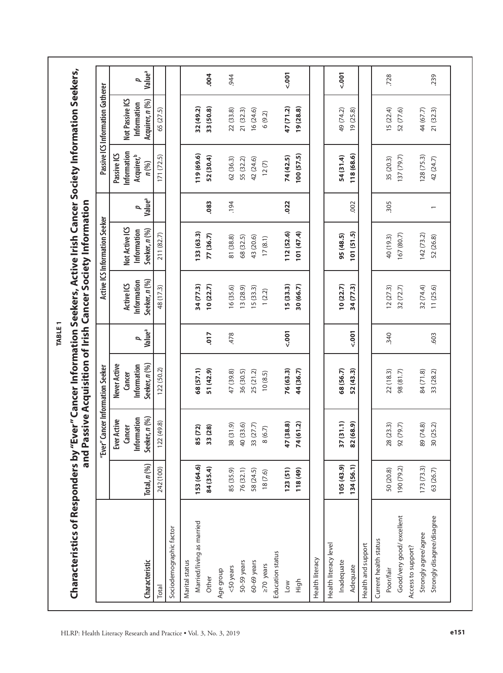|                            |                  | "Ever" Cancer Information Seeker            |                                       |                         |                           | Active ICS Information Seeker |                                                |                                                      | Passive ICS Information Gatherer |                         |
|----------------------------|------------------|---------------------------------------------|---------------------------------------|-------------------------|---------------------------|-------------------------------|------------------------------------------------|------------------------------------------------------|----------------------------------|-------------------------|
|                            |                  | Information<br><b>Ever Active</b><br>Cancer | Never Active<br>Information<br>Cancer |                         | Information<br>Active ICS | Not Active ICS                |                                                | Information<br>Passive ICS<br>Acquirer, <sup>b</sup> | Not Passive ICS<br>Information   |                         |
| Characteristic             | Total, $n$ $(%)$ | Seeker, n (%)                               | Seeker, n (%)                         | Value <sup>a</sup><br>p | Seeker, n (%)             | Seeker, n (%)<br>Information  | Value <sup>a</sup><br>$\overline{\phantom{a}}$ | n (%)                                                | Acquirer, n (%)                  | Value <sup>a</sup><br>4 |
| Total                      | 242 (100)        | 22 (49.8)                                   | 122 (50.2)                            |                         | 48 (17.3)                 | 211 (82.7)                    |                                                | 171 (72.5)                                           | 65 (27.5)                        |                         |
| Sociodemographic factor    |                  |                                             |                                       |                         |                           |                               |                                                |                                                      |                                  |                         |
| Marital status             |                  |                                             |                                       |                         |                           |                               |                                                |                                                      |                                  |                         |
| Married/living as married  | 153 (64.6)       | 85 (72)                                     | 68(57.1)                              |                         | 34 (77.3)                 | 133 (63.3)                    |                                                | 119 (69.6)                                           | 32 (49.2)                        |                         |
| Other                      | 84 (35.4)        | 33 (28)                                     | 51 (42.9)                             | 017                     | 10(22.7)                  | 77 (36.7)                     | .083                                           | 52 (30.4)                                            | 33 (50.8)                        | .004                    |
| Age group                  |                  |                                             |                                       |                         |                           |                               |                                                |                                                      |                                  |                         |
| <50 years                  | 85 (35.9)        | 38 (31.9)                                   | 47 (39.8)                             | 478                     | 16(35.6)                  | 81 (38.8)                     | 194                                            | 62 (36.3)                                            | 22(33.8)                         | .944                    |
| 50-59 years                | 76 (32.1)        | 40 (33.6)                                   | 36 (30.5)                             |                         | 13(28.9)                  | 68 (32.5)                     |                                                | 55 (32.2)                                            | 21 (32.3)                        |                         |
| 60-69 years                | 58 (24.5)        | 33 (27.7)                                   | 25 (21.2)                             |                         | 5(33.3)                   | 43 (20.6)                     |                                                | 42 (24.6)                                            | 16(24.6)                         |                         |
| $\geq 70$ years            | 18(7.6)          | 8(6.7)                                      | 10(8.5)                               |                         | 1(2.2)                    | 17(8.1)                       |                                                | 12(7)                                                | 6(9.2)                           |                         |
| Education status           |                  |                                             |                                       |                         |                           |                               |                                                |                                                      |                                  |                         |
| Low                        | 123(51)          | 47 (38.8)                                   | 76 (63.3)                             | $500 - 7001$            | 15(33.3)                  | 112 (52.6)                    | .022                                           | 74 (42.5)                                            | 47 (71.2)                        | 500,50                  |
| High                       | 118 (49)         | 74 (61.2)                                   | 44 (36.7)                             |                         | 30 (66.7)                 | 101 (47.4)                    |                                                | 100 (57.5)                                           | 19(28.8)                         |                         |
| Health literacy            |                  |                                             |                                       |                         |                           |                               |                                                |                                                      |                                  |                         |
| Health literacy level      |                  |                                             |                                       |                         |                           |                               |                                                |                                                      |                                  |                         |
| Inadequate                 | 105(43.9)        | 37(31.1)                                    | 68 (56.7)                             |                         | 10(22.7)                  | 95(48.5)                      |                                                | 54 (31.4)                                            | 49 (74.2)                        | 500,500                 |
| Adequate                   | 134 (56.1)       | 82 (68.9)                                   | 52 (43.3)                             | 500,500                 | 34 (77.3)                 | 101(51.5)                     | 002                                            | 118 (68.6)                                           | 19(25.8)                         |                         |
| Health and support         |                  |                                             |                                       |                         |                           |                               |                                                |                                                      |                                  |                         |
| Current health status      |                  |                                             |                                       |                         |                           |                               |                                                |                                                      |                                  |                         |
| Poor/fair                  | 50 (20.8)        | 28 (23.3)                                   | 22(18.3)                              | 340                     | 12(27.3)                  | 40 (19.3)                     | 305                                            | 35 (20.3)                                            | 15(22.4)                         | .728                    |
| Good/very good/excellent   | (2.62) 061       | 92 (79.7)                                   | 98 (81.7)                             |                         | 32(72.7)                  | 167 (80.7)                    |                                                | 137 (79.7)                                           | 52 (77.6)                        |                         |
| Access to support?         |                  |                                             |                                       |                         |                           |                               |                                                |                                                      |                                  |                         |
| Strongly agree/agree       | 173(73.3)        | 89 (74.8)                                   | 84 (71.8)                             |                         | 32(74.4)                  | 142(73.2)                     |                                                | 128(75.3)                                            | 44 (67.7)                        |                         |
| Strongly disagree/disagree | 63 (26.7)        | 30 (25.2)                                   | 33 (28.2)                             | .603                    | 11(25.6)                  | 52 (26.8)                     |                                                | 42 (24.7)                                            | 21 (32.3)                        | 239                     |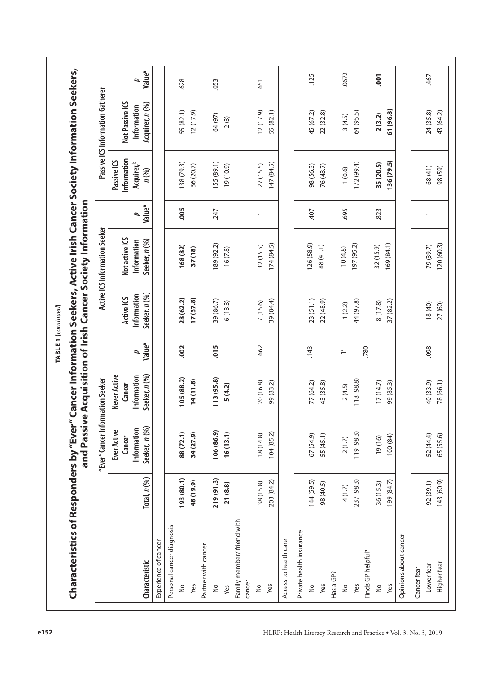|                                      |                  |                                                              |                                                        |                                                | and Passive Acquisition of Irish Cancer Society Information |                                                |                         |                                                                 |                                                   |                         |
|--------------------------------------|------------------|--------------------------------------------------------------|--------------------------------------------------------|------------------------------------------------|-------------------------------------------------------------|------------------------------------------------|-------------------------|-----------------------------------------------------------------|---------------------------------------------------|-------------------------|
|                                      |                  | "Ever" Cancer Information Seeker                             |                                                        |                                                |                                                             | Active ICS Information Seeker                  |                         |                                                                 | Passive ICS Information Gatherer                  |                         |
| Characteristic                       | Total, $n$ $(%)$ | Seeker, n (%)<br>Information<br><b>Ever Active</b><br>Cancer | Never Active<br>Information<br>Seeker, n (%)<br>Cancer | Value <sup>a</sup><br>$\overline{\phantom{a}}$ | Seeker, n (%)<br>Information<br>Active ICS                  | Not active ICS<br>Seeker, n (%)<br>Information | Value <sup>a</sup><br>p | Information<br>Passive ICS<br>Acquirer, <sup>b</sup><br>$n$ (%) | Not Passive ICS<br>Acquirer, n (%)<br>Information | Value <sup>a</sup><br>2 |
| Experience of cancer                 |                  |                                                              |                                                        |                                                |                                                             |                                                |                         |                                                                 |                                                   |                         |
| Personal cancer diagnosis            |                  |                                                              |                                                        |                                                |                                                             |                                                |                         |                                                                 |                                                   |                         |
| $\stackrel{\circ}{\simeq}$           | 193 (80.1)       | 88 (72.1)                                                    | 105 (88.2)                                             | .002                                           | 28 (62.2)                                                   | 168 (82)                                       | .005                    | 138 (79.3)                                                      | 55 (82.1)                                         | .628                    |
| Yes                                  | 48 (19.9)        | 34 (27.9)                                                    | 14(11.8)                                               |                                                | 17(37.8)                                                    | 37(18)                                         |                         | 36 (20.7)                                                       | 12(17.9)                                          |                         |
| Partner with cancer                  |                  |                                                              |                                                        |                                                |                                                             |                                                |                         |                                                                 |                                                   |                         |
| $\frac{1}{2}$                        | 219 (91.3)       | 106 (86.9)                                                   | 113 (95.8)                                             | .015                                           | 39 (86.7)                                                   | 189 (92.2)                                     | 247                     | 155 (89.1)                                                      | 64 (97)                                           | .053                    |
| Yes                                  | 21(8.8)          | 13.1<br>16(1)                                                | 5(4.2)                                                 |                                                | 6(13.3)                                                     | 16(7.8)                                        |                         | 19(10.9)                                                        | 2(3)                                              |                         |
| Family member/ friend with<br>cancer |                  |                                                              |                                                        |                                                |                                                             |                                                |                         |                                                                 |                                                   |                         |
| $\frac{0}{2}$                        | 38 (15.8)        | 18(14.8)                                                     | 20 (16.8)                                              | .662                                           | 7 (15.6)                                                    | 32(15.5)                                       | $\overline{ }$          | 27(15.5)                                                        | 12(17.9)                                          | .651                    |
| Yes                                  | 203 (84.2)       | 104 (85.2)                                                   | 99 (83.2)                                              |                                                | 39 (84.4)                                                   | 174(84.5)                                      |                         | 147 (84.5)                                                      | 55 (82.1)                                         |                         |
| Access to health care                |                  |                                                              |                                                        |                                                |                                                             |                                                |                         |                                                                 |                                                   |                         |
| Private health insurance             |                  |                                                              |                                                        |                                                |                                                             |                                                |                         |                                                                 |                                                   |                         |
| $\frac{1}{2}$                        | 144 (59.5)       | 67(54.9)                                                     | 77 (64.2)                                              | .143                                           | 23(51.1)                                                    | 126 (58.9)                                     | -407                    | 98 (56.3)                                                       | 45 (67.2)                                         | .125                    |
| Yes                                  | 98 (40.5)        | 55 (45.1)                                                    | 43 (35.8)                                              |                                                | 22 (48.9)                                                   | 88 (41.1)                                      |                         | 76 (43.7)                                                       | 22 (32.8)                                         |                         |
| Has a GP?                            |                  |                                                              |                                                        |                                                |                                                             |                                                |                         |                                                                 |                                                   |                         |
| $\frac{1}{2}$                        | 4(1.7)           | 2(1.7)                                                       | 2(4.5)                                                 | $\frac{c}{1}$                                  | 1(2.2)                                                      | 10(4.8)                                        | .695                    | 1(0.6)                                                          | 3(4.5)                                            | .0672                   |
| Yes                                  | 237 (98.3)       | 119 (98.3)                                                   | 118 (98.8)                                             |                                                | 44 (97.8)                                                   | 197 (95.2)                                     |                         | 172 (99.4)                                                      | 64 (95.5)                                         |                         |
| Finds GP helpful?                    |                  |                                                              |                                                        | .780                                           |                                                             |                                                |                         |                                                                 |                                                   |                         |
| $\frac{1}{2}$                        | 36 (15.3)        | 19(16)                                                       | 17(14.7)                                               |                                                | 8 (17.8)                                                    | 32 (15.9)                                      | .823                    | 35 (20.5)                                                       | 2(3.2)                                            | $\overline{5}$          |
| Yes                                  | 199 (84.7)       | 100 (84)                                                     | 99 (85.3)                                              |                                                | 37 (82.2)                                                   | 169 (84.1)                                     |                         | 136 (79.5)                                                      | 61 (96.8)                                         |                         |
| Opinions about cancer                |                  |                                                              |                                                        |                                                |                                                             |                                                |                         |                                                                 |                                                   |                         |
| Cancer fear                          |                  |                                                              |                                                        |                                                |                                                             |                                                |                         |                                                                 |                                                   |                         |
| Lower fear                           | 92 (39.1)        | 52 (44.4)                                                    | 40 (33.9)                                              | .098                                           | 18 (40)                                                     | 79 (39.7)                                      |                         | 68 (41)                                                         | 24 (35.8)                                         | .467                    |
|                                      |                  |                                                              |                                                        |                                                |                                                             |                                                |                         |                                                                 |                                                   |                         |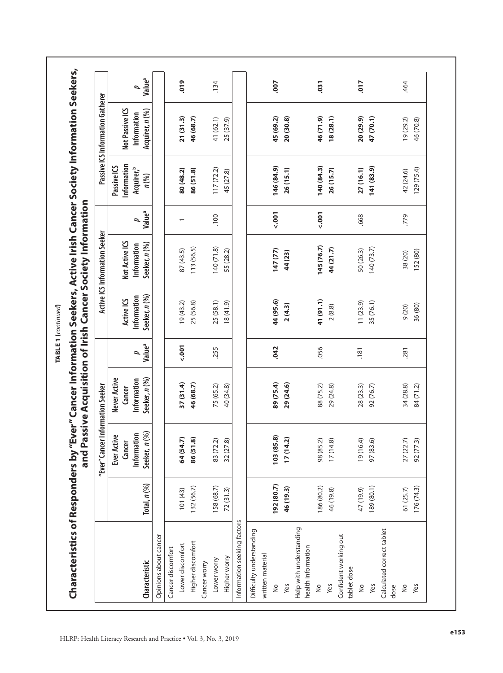|                                               |                   | "Ever" Cancer Information Seeker                      |                                                        |                         |                                            | Active ICS Information Seeker                  |                                      |                                                                 | Passive ICS Information Gatherer                  |                         |
|-----------------------------------------------|-------------------|-------------------------------------------------------|--------------------------------------------------------|-------------------------|--------------------------------------------|------------------------------------------------|--------------------------------------|-----------------------------------------------------------------|---------------------------------------------------|-------------------------|
| Characteristic                                | Total, $n$ $(\%)$ | Seeker, n (%)<br>Information<br>Ever Active<br>Cancer | Seeker, n (%)<br>Never Active<br>Information<br>Cancer | Value <sup>a</sup><br>ρ | Seeker, n (%)<br>Information<br>Active ICS | Not Active ICS<br>Seeker, n (%)<br>Information | Value <sup>a</sup><br>$\overline{a}$ | Information<br>Passive ICS<br>Acquirer, <sup>b</sup><br>$n$ (%) | Not Passive ICS<br>Acquirer, n (%)<br>Information | Value <sup>a</sup><br>p |
| Opinions about cancer                         |                   |                                                       |                                                        |                         |                                            |                                                |                                      |                                                                 |                                                   |                         |
| Cancer discomfort                             |                   |                                                       |                                                        |                         |                                            |                                                |                                      |                                                                 |                                                   |                         |
| Lower discomfort                              | 101 (43)          | 64 (54.7)                                             | 37(31.4)                                               | $500 - 7$               | 19(43.2)                                   | 87 (43.5)                                      |                                      | 80 (48.2)                                                       | 21(31.3)                                          | 019                     |
| Higher discomfort                             | 132 (56.7)        | 86 (51.8)                                             | 46 (68.7)                                              |                         | 25 (56.8)                                  | 113 (56.5)                                     |                                      | 86 (51.8)                                                       | 46 (68.7)                                         |                         |
| Cancer worry                                  |                   |                                                       |                                                        |                         |                                            |                                                |                                      |                                                                 |                                                   |                         |
| Lower worry                                   | 158 (68.7)        | 83 (72.2)                                             | 75 (65.2)                                              | .255                    | 25(58.1)                                   | 140(71.8)                                      | $\overline{00}$                      | 117(72.2)                                                       | 41 (62.1)                                         | .134                    |
| Higher worry                                  | 72(31.3)          | $\widehat{\infty}$<br>32 (27                          | 40 (34.8)                                              |                         | (6.11.9)                                   | 55 (28.2)                                      |                                      | 45 (27.8)                                                       | 25 (37.9)                                         |                         |
| Information seeking factors                   |                   |                                                       |                                                        |                         |                                            |                                                |                                      |                                                                 |                                                   |                         |
| Difficulty understanding                      |                   |                                                       |                                                        |                         |                                            |                                                |                                      |                                                                 |                                                   |                         |
| written material                              |                   |                                                       |                                                        |                         |                                            |                                                |                                      |                                                                 |                                                   |                         |
| $\frac{1}{2}$                                 | 192 (80.7)        | 103 (85.8)                                            | 89 (75.4)                                              | .042                    | 44 (95.6)                                  | 147 (77)                                       | $500, -2$                            | 146 (84.9)                                                      | 45 (69.2)                                         | .007                    |
| Yes                                           | 46 (19.3)         | $\widehat{\mathbf{N}}$<br>17(14.                      | 29 (24.6)                                              |                         | 2(4.3)                                     | 44 (23)                                        |                                      | 26 (15.1)                                                       | 20 (30.8)                                         |                         |
| Help with understanding<br>health information |                   |                                                       |                                                        |                         |                                            |                                                |                                      |                                                                 |                                                   |                         |
| $\frac{1}{2}$                                 | 186 (80.2)        | 98 (85.2)                                             | 88 (75.2)                                              | .056                    | 41 (91.1)                                  | 145 (76.7)                                     | $500, -2$                            | 140 (84.3)                                                      | 46 (71.9)                                         | .031                    |
| Yes                                           | 46 (19.8)         | 17(14.8)                                              | 29 (24.8)                                              |                         | 2(8.8)                                     | 44 (21.7)                                      |                                      | 26 (15.7)                                                       | 18(28.1)                                          |                         |
| Confident working out<br>tablet dose          |                   |                                                       |                                                        |                         |                                            |                                                |                                      |                                                                 |                                                   |                         |
| $\frac{1}{2}$                                 | 47 (19.9)         | 19 (16.4)                                             | 28 (23.3)                                              | .181                    | 11(23.9)                                   | 50 (26.3)                                      | .668                                 | 27 (16.1)                                                       | 20 (29.9)                                         | 710                     |
| Yes                                           | 189 (80.1)        | <u>ଚ</u><br>97 (83.                                   | 92 (76.7)                                              |                         | 35 (76.1)                                  | 140 (73.7)                                     |                                      | 141 (83.9)                                                      | 47 (70.1)                                         |                         |
| Calculated correct tablet                     |                   |                                                       |                                                        |                         |                                            |                                                |                                      |                                                                 |                                                   |                         |
| dose                                          |                   |                                                       |                                                        |                         |                                            |                                                |                                      |                                                                 |                                                   |                         |
| $\frac{1}{2}$                                 | 61 (25.7)         | 27 (22.7)                                             | 34 (28.8)                                              | .281                    | 9(20)                                      | 38 (20)                                        | .779                                 | 42 (24.6)                                                       | 19 (29.2)                                         | .464                    |
| Yes                                           | 176 (74.3)        | 92 (77.3)                                             | 84 (71.2)                                              |                         | 36 (80)                                    | 152 (80)                                       |                                      | 129(75.4)                                                       | 46 (70.8)                                         |                         |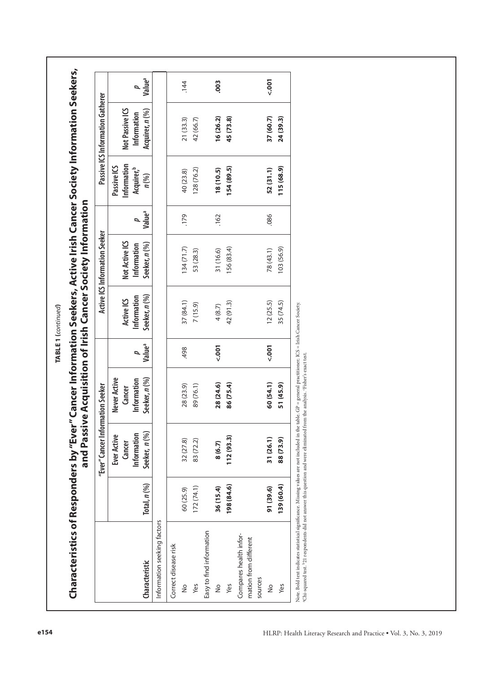|                                                                                                                                                                                                                                      |                  | "Ever" Cancer Information Seeker |                       |                    |                           | Active ICS Information Seeker |                    |                                       | Passive ICS Information Gatherer |                    |
|--------------------------------------------------------------------------------------------------------------------------------------------------------------------------------------------------------------------------------------|------------------|----------------------------------|-----------------------|--------------------|---------------------------|-------------------------------|--------------------|---------------------------------------|----------------------------------|--------------------|
|                                                                                                                                                                                                                                      |                  | <b>Ever Active</b>               | Never Active          |                    |                           |                               |                    | Passive ICS                           |                                  |                    |
|                                                                                                                                                                                                                                      |                  | Information<br>Cancer            | Information<br>Cancer | 4                  | Information<br>Active ICS | Not Active ICS<br>Information | ٩                  | Information<br>Acquirer, <sup>b</sup> | Not Passive ICS<br>Information   |                    |
| Characteristic                                                                                                                                                                                                                       | Total, $n$ $(%)$ | Seeker, n (%)                    | Seeker, n (%)         | Value <sup>a</sup> | Seeker, n (%)             | Seeker, n (%)                 | Value <sup>a</sup> | $n$ $(%)$                             | Acquirer, n (%)                  | Value <sup>a</sup> |
| Information seeking factors                                                                                                                                                                                                          |                  |                                  |                       |                    |                           |                               |                    |                                       |                                  |                    |
| Correct disease risk                                                                                                                                                                                                                 |                  |                                  |                       |                    |                           |                               |                    |                                       |                                  |                    |
| $\frac{1}{2}$                                                                                                                                                                                                                        | 60 (25.9)        | 32 (27.8)                        | 28 (23.9)             | 498                | 37(84.1)                  | 134(71.7)                     | .179               | 40 (23.8)                             | 21(33.3)                         |                    |
| Yes                                                                                                                                                                                                                                  | 172(74.1)        | 83 (72.2)                        | 89 (76.1)             |                    | 7 (15.9)                  | 53 (28.3)                     |                    | 128 (76.2)                            | 42 (66.7)                        |                    |
| Easy to find information                                                                                                                                                                                                             |                  |                                  |                       |                    |                           |                               |                    |                                       |                                  |                    |
| $\frac{1}{2}$                                                                                                                                                                                                                        | 36 (15.4)        | 8(6.7)                           | 28 (24.6)             | $500 - 7$          | 4(8.7)                    | 31 (16.6)                     | .162               | 18(10.5)                              | 16 (26.2)                        |                    |
| Yes                                                                                                                                                                                                                                  | 198 (84.6)       | 112(93.3)                        | 86 (75.4)             |                    | 42 (91.3)                 | 156 (83.4)                    |                    | 154 (89.5)                            | 45 (73.8)                        |                    |
| Compares health infor-<br>mation from different                                                                                                                                                                                      |                  |                                  |                       |                    |                           |                               |                    |                                       |                                  |                    |
| sources                                                                                                                                                                                                                              |                  |                                  |                       |                    |                           |                               |                    |                                       |                                  |                    |
| $\frac{1}{2}$                                                                                                                                                                                                                        | 91 (39.6)        | 31 (26.1)                        | 60 (54.1)             | $500 - 7$          | 12(25.5)                  | 78(43.1)                      | .086               | 52(31.1)                              | 37 (60.7)                        | $500 - 50$         |
| Yes                                                                                                                                                                                                                                  | 139 (60.4)       | 88 (73.9)                        | 51 (45.9)             |                    | 35 (74.5)                 | 103 (56.9)                    |                    | 115 (68.9)                            | 24 (39.3)                        |                    |
| Note. Bold text indicates statistical significance. Missing values are not included in the table. GP = general practitioner; ICS = Irish Cancer Society.<br>"Chi-squared test. '21 respondents did not answer this question and were |                  |                                  |                       |                    |                           |                               |                    |                                       |                                  |                    |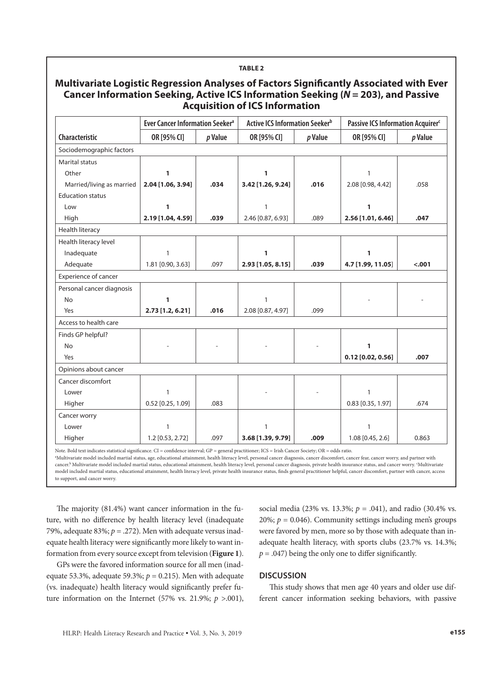#### **Multivariate Logistic Regression Analyses of Factors Significantly Associated with Ever Cancer Information Seeking, Active ICS Information Seeking (***N* **= 203), and Passive Acquisition of ICS Information Characteristic Ever Cancer Information Seeker<sup>a</sup> | Active ICS Information Seeker<sup>b</sup> | Passive ICS Information Acquirer<sup>c</sup> OR [95% CI]** *p* **Value OR [95% CI]** *p* **Value OR [95% CI]** *p* **Value** Sociodemographic factors Marital status Other Married/living as married Education status Low High **1 2.04 [1.06, 3.94] 1 2.19 [1.04, 4.59] .034 .039 1 3.42 [1.26, 9.24]** 1 2.46 [0.87, 6.93] **.016** .089 1 2.08 [0.98, 4.42] **1 2.56 [1.01, 6.46]** .058 **.047** Health literacy Health literacy level Inadequate Adequate 1 1.81  $[0.90, 3.63]$  .097 **1 2.93 [1.05, 8.15] .039 1 4.7 [1.99, 11.05**] **<.001** Experience of cancer Personal cancer diagnosis No Yes **1 2.73 [1.2, 6.21] .016** 1  $2.08 [0.87, 4.97]$  .099 - - Access to health care Finds GP helpful? No Yes - - - - **1 0.12 [0.02, 0.56] .007** Opinions about cancer Cancer discomfort Lower Higher 1  $0.52$  [0.25, 1.09] .083 - - 1  $0.83$  [0.35, 1.97] .674 Cancer worry Lower 1 1 1

**TABLE 2**

Note. Bold text indicates statistical significance. CI = confidence interval; GP = general practitioner; ICS = Irish Cancer Society; OR = odds ratio.

 $1.2$  [0.53, 2.72]  $\vert$  .097

a Multivariate model included martial status, age, educational attainment, health literacy level, personal cancer diagnosis, cancer discomfort, cancer fear, cancer worry, and partner with cancer.b Multivariate model included martial status, educational attainment, health literacy level, personal cancer diagnosis, private health insurance status, and cancer worry. c Multivariate model included martial status, educational attainment, health literacy level, private health insurance status, finds general practitioner helpful, cancer discomfort, partner with cancer, access to support, and cancer worry.

The majority (81.4%) want cancer information in the future, with no difference by health literacy level (inadequate 79%, adequate 83%;  $p = 0.272$ ). Men with adequate versus inadequate health literacy were significantly more likely to want information from every source except from television (**Figure 1**).

**Higher** 

GPs were the favored information source for all men (inadequate 53.3%, adequate 59.3%;  $p = 0.215$ ). Men with adequate (vs. inadequate) health literacy would significantly prefer future information on the Internet (57% vs. 21.9%; *p* >.001),

social media (23% vs. 13.3%; *p* = .041), and radio (30.4% vs. 20%;  $p = 0.046$ ). Community settings including men's groups were favored by men, more so by those with adequate than inadequate health literacy, with sports clubs (23.7% vs. 14.3%;  $p = .047$ ) being the only one to differ significantly.

1.08 [0.45, 2.6] 0.863

#### **DISCUSSION**

**3.68 [1.39, 9.79] .009**

This study shows that men age 40 years and older use different cancer information seeking behaviors, with passive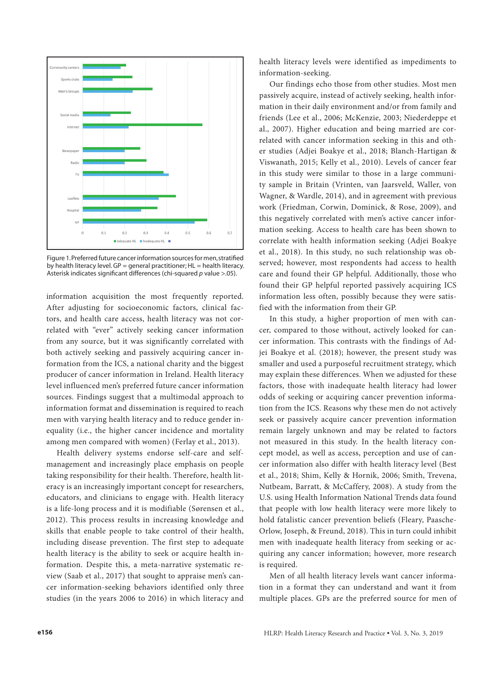

Figure 1. Preferred future cancer information sources for men, stratified by health literacy level.  $GP =$  general practitioner;  $HL =$  health literacy. Asterisk indicates significant differences (chi-squared *p* value >.05).

information acquisition the most frequently reported. After adjusting for socioeconomic factors, clinical factors, and health care access, health literacy was not correlated with "ever" actively seeking cancer information from any source, but it was significantly correlated with both actively seeking and passively acquiring cancer information from the ICS, a national charity and the biggest producer of cancer information in Ireland. Health literacy level influenced men's preferred future cancer information sources. Findings suggest that a multimodal approach to information format and dissemination is required to reach men with varying health literacy and to reduce gender inequality (i.e., the higher cancer incidence and mortality among men compared with women) (Ferlay et al., 2013).

Health delivery systems endorse self-care and selfmanagement and increasingly place emphasis on people taking responsibility for their health. Therefore, health literacy is an increasingly important concept for researchers, educators, and clinicians to engage with. Health literacy is a life-long process and it is modifiable (Sørensen et al., 2012). This process results in increasing knowledge and skills that enable people to take control of their health, including disease prevention. The first step to adequate health literacy is the ability to seek or acquire health information. Despite this, a meta‐narrative systematic review (Saab et al., 2017) that sought to appraise men's cancer information‐seeking behaviors identified only three studies (in the years 2006 to 2016) in which literacy and

health literacy levels were identified as impediments to information‐seeking.

Our findings echo those from other studies. Most men passively acquire, instead of actively seeking, health information in their daily environment and/or from family and friends (Lee et al., 2006; McKenzie, 2003; Niederdeppe et al., 2007). Higher education and being married are correlated with cancer information seeking in this and other studies (Adjei Boakye et al., 2018; Blanch-Hartigan & Viswanath, 2015; Kelly et al., 2010). Levels of cancer fear in this study were similar to those in a large community sample in Britain (Vrinten, van Jaarsveld, Waller, von Wagner, & Wardle, 2014), and in agreement with previous work (Friedman, Corwin, Dominick, & Rose, 2009), and this negatively correlated with men's active cancer information seeking. Access to health care has been shown to correlate with health information seeking (Adjei Boakye et al., 2018). In this study, no such relationship was observed; however, most respondents had access to health care and found their GP helpful. Additionally, those who found their GP helpful reported passively acquiring ICS information less often, possibly because they were satisfied with the information from their GP.

In this study, a higher proportion of men with cancer, compared to those without, actively looked for cancer information. This contrasts with the findings of Adjei Boakye et al. (2018); however, the present study was smaller and used a purposeful recruitment strategy, which may explain these differences. When we adjusted for these factors, those with inadequate health literacy had lower odds of seeking or acquiring cancer prevention information from the ICS. Reasons why these men do not actively seek or passively acquire cancer prevention information remain largely unknown and may be related to factors not measured in this study. In the health literacy concept model, as well as access, perception and use of cancer information also differ with health literacy level (Best et al., 2018; Shim, Kelly & Hornik, 2006; Smith, Trevena, Nutbeam, Barratt, & McCaffery, 2008). A study from the U.S. using Health Information National Trends data found that people with low health literacy were more likely to hold fatalistic cancer prevention beliefs (Fleary, Paasche-Orlow, Joseph, & Freund, 2018). This in turn could inhibit men with inadequate health literacy from seeking or acquiring any cancer information; however, more research is required.

Men of all health literacy levels want cancer information in a format they can understand and want it from multiple places. GPs are the preferred source for men of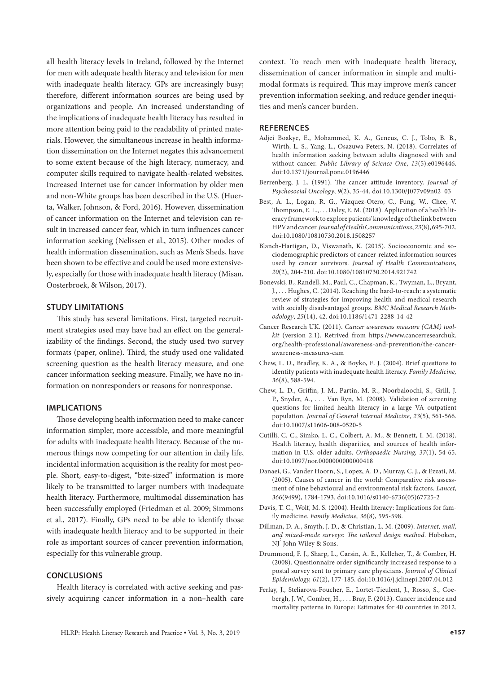all health literacy levels in Ireland, followed by the Internet for men with adequate health literacy and television for men with inadequate health literacy. GPs are increasingly busy; therefore, different information sources are being used by organizations and people. An increased understanding of the implications of inadequate health literacy has resulted in more attention being paid to the readability of printed materials. However, the simultaneous increase in health information dissemination on the Internet negates this advancement to some extent because of the high literacy, numeracy, and computer skills required to navigate health-related websites. Increased Internet use for cancer information by older men and non-White groups has been described in the U.S. (Huerta, Walker, Johnson, & Ford, 2016). However, dissemination of cancer information on the Internet and television can result in increased cancer fear, which in turn influences cancer information seeking (Nelissen et al., 2015). Other modes of health information dissemination, such as Men's Sheds, have been shown to be effective and could be used more extensively, especially for those with inadequate health literacy (Misan, Oosterbroek, & Wilson, 2017).

#### **STUDY LIMITATIONS**

This study has several limitations. First, targeted recruitment strategies used may have had an effect on the generalizability of the findings. Second, the study used two survey formats (paper, online). Third, the study used one validated screening question as the health literacy measure, and one cancer information seeking measure. Finally, we have no information on nonresponders or reasons for nonresponse.

#### **IMPLICATIONS**

Those developing health information need to make cancer information simpler, more accessible, and more meaningful for adults with inadequate health literacy. Because of the numerous things now competing for our attention in daily life, incidental information acquisition is the reality for most people. Short, easy-to-digest, "bite-sized" information is more likely to be transmitted to larger numbers with inadequate health literacy. Furthermore, multimodal dissemination has been successfully employed (Friedman et al. 2009; Simmons et al., 2017). Finally, GPs need to be able to identify those with inadequate health literacy and to be supported in their role as important sources of cancer prevention information, especially for this vulnerable group.

#### **CONCLUSIONS**

Health literacy is correlated with active seeking and passively acquiring cancer information in a non–health care context. To reach men with inadequate health literacy, dissemination of cancer information in simple and multimodal formats is required. This may improve men's cancer prevention information seeking, and reduce gender inequities and men's cancer burden.

#### **REFERENCES**

- Adjei Boakye, E., Mohammed, K. A., Geneus, C. J., Tobo, B. B., Wirth, L. S., Yang, L., Osazuwa-Peters, N. (2018). Correlates of health information seeking between adults diagnosed with and without cancer. *Public Library of Science One*, *13*(5):e0196446. doi:10.1371/journal.pone.0196446
- Berrenberg, J. L. (1991). The cancer attitude inventory. *Journal of Psychosocial Oncology*, *9*(2), 35-44. doi:10.1300/J077v09n02\_03
- Best, A. L., Logan, R. G., Vázquez-Otero, C., Fung, W., Chee, V. Thompson, E. L., . . . Daley, E. M. (2018). Application of a health literacy framework to explore patients' knowledge of the link between HPV and cancer. *Journal of Health Communications*, *23*(8), 695-702. doi:10.1080/10810730.2018.1508257
- Blanch-Hartigan, D., Viswanath, K. (2015). Socioeconomic and sociodemographic predictors of cancer-related information sources used by cancer survivors. *Journal of Health Communications*, *20*(2), 204-210. doi:10.1080/10810730.2014.921742
- Bonevski, B., Randell, M., Paul, C., Chapman, K., Twyman, L., Bryant, J., . . . Hughes, C. (2014). Reaching the hard-to-reach: a systematic review of strategies for improving health and medical research with socially disadvantaged groups. *BMC Medical Research Methodology*, *25*(14), 42. doi:10.1186/1471-2288-14-42
- Cancer Research UK. (2011). *Cancer awareness measure (CAM) toolkit* (version 2.1). Retrived from https://www.cancerresearchuk. org/health-professional/awareness-and-prevention/the-cancerawareness-measures-cam
- Chew, L. D., Bradley, K. A., & Boyko, E. J. (2004). Brief questions to identify patients with inadequate health literacy. *Family Medicine, 36*(8), 588-594.
- Chew, L. D., Griffin, J. M., Partin, M. R., Noorbaloochi, S., Grill, J. P., Snyder, A., . . . Van Ryn, M. (2008). Validation of screening questions for limited health literacy in a large VA outpatient population. *Journal of General Internal Medicine, 23*(5), 561-566. doi:10.1007/s11606-008-0520-5
- Cutilli, C. C., Simko, L. C., Colbert, A. M., & Bennett, I. M. (2018). Health literacy, health disparities, and sources of health information in U.S. older adults. *Orthopaedic Nursing, 37*(1), 54-65. doi:10.1097/nor.0000000000000418
- Danaei, G., Vander Hoorn, S., Lopez, A. D., Murray, C. J., & Ezzati, M. (2005). Causes of cancer in the world: Comparative risk assessment of nine behavioural and environmental risk factors. *Lancet, 366*(9499), 1784-1793. doi:10.1016/s0140-6736(05)67725-2
- Davis, T. C., Wolf, M. S. (2004). Health literacy: Implications for family medicine. *Family Medicine, 36*(8), 595-598.
- Dillman, D. A., Smyth, J. D., & Christian, L. M. (2009). *Internet, mail, and mixed-mode surveys: The tailored design method*. Hoboken, NJ: John Wiley & Sons.
- Drummond, F. J., Sharp, L., Carsin, A. E., Kelleher, T., & Comber, H. (2008). Questionnaire order significantly increased response to a postal survey sent to primary care physicians. *Journal of Clinical Epidemiology, 61*(2), 177-185. doi:10.1016/j.jclinepi.2007.04.012
- Ferlay, J., Steliarova-Foucher, E., Lortet-Tieulent, J., Rosso, S., Coebergh, J. W., Comber, H., . . . Bray, F. (2013). Cancer incidence and mortality patterns in Europe: Estimates for 40 countries in 2012.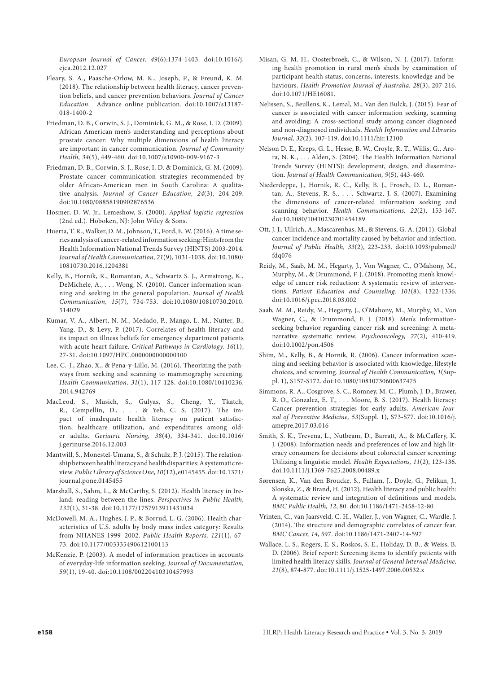*European Journal of Cancer. 49*(6):1374-1403. doi:10.1016/j. ejca.2012.12.027

- Fleary, S. A., Paasche-Orlow, M. K., Joseph, P., & Freund, K. M. (2018). The relationship between health literacy, cancer prevention beliefs, and cancer prevention behaviors. *Journal of Cancer Education*. Advance online publication. doi:10.1007/s13187- 018-1400-2
- Friedman, D. B., Corwin, S. J., Dominick, G. M., & Rose, I. D. (2009). African American men's understanding and perceptions about prostate cancer: Why multiple dimensions of health literacy are important in cancer communication. *Journal of Community Health, 34*(5), 449-460. doi:10.1007/s10900-009-9167-3
- Friedman, D. B., Corwin, S. J., Rose, I. D. & Dominick, G. M. (2009). Prostate cancer communication strategies recommended by older African-American men in South Carolina: A qualitative analysis. *Journal of Cancer Education, 24*(3), 204-209. doi:10.1080/08858190902876536
- Hosmer, D. W. Jr., Lemeshow, S. (2000). *Applied logistic regression* (2nd ed.). Hoboken, NJ: John Wiley & Sons.
- Huerta, T. R., Walker, D. M., Johnson, T., Ford, E. W. (2016). A time series analysis of cancer-related information seeking: Hints from the Health Information National Trends Survey (HINTS) 2003-2014. *Journal of Health Communication, 21*(9), 1031-1038. doi:10.1080/ 10810730.2016.1204381
- Kelly, B., Hornik, R., Romantan, A., Schwartz S. J., Armstrong, K., DeMichele, A., . . . Wong, N. (2010). Cancer information scanning and seeking in the general population. *Journal of Health Communication, 15*(7), 734-753. doi:10.1080/10810730.2010. 514029
- Kumar, V. A., Albert, N. M., Medado, P., Mango, L. M., Nutter, B., Yang, D., & Levy, P. (2017). Correlates of health literacy and its impact on illness beliefs for emergency department patients with acute heart failure. *Critical Pathways in Cardiology. 16*(1), 27-31. doi:10.1097/HPC.0000000000000100
- Lee, C.-J., Zhao, X., & Pena-y-Lillo, M. (2016). Theorizing the pathways from seeking and scanning to mammography screening. *Health Communication, 31*(1), 117-128. doi:10.1080/10410236. 2014.942769
- MacLeod, S., Musich, S., Gulyas, S., Cheng, Y., Tkatch, R., Cempellin, D., . . . & Yeh, C. S. (2017). The impact of inadequate health literacy on patient satisfaction, healthcare utilization, and expenditures among older adults. *Geriatric Nursing, 38*(4), 334-341. doi:10.1016/ j.gerinurse.2016.12.003
- Mantwill, S., Monestel-Umana, S., & Schulz, P. J. (2015). The relationship between health literacy and health disparities: A systematic review. *Public Library of Science One, 10*(12), e0145455. doi:10.1371/ journal.pone.0145455
- Marshall, S., Sahm, L., & McCarthy, S. (2012). Health literacy in Ireland: reading between the lines. *Perspectives in Public Health, 132*(1), 31-38. doi:10.1177/1757913911431034
- McDowell, M. A., Hughes, J. P., & Borrud, L. G. (2006). Health characteristics of U.S. adults by body mass index category: Results from NHANES 1999–2002. *Public Health Reports, 121*(1), 67- 73. doi:10.1177/003335490612100113
- McKenzie, P. (2003). A model of information practices in accounts of everyday‐life information seeking. *Journal of Documentation, 59*(1), 19-40. doi:10.1108/00220410310457993
- Misan, G. M. H., Oosterbroek, C., & Wilson, N. J. (2017). Informing health promotion in rural men's sheds by examination of participant health status, concerns, interests, knowledge and behaviours. *Health Promotion Journal of Australia. 28*(3), 207-216. doi:10.1071/HE16081.
- Nelissen, S., Beullens, K., Lemal, M., Van den Bulck, J. (2015). Fear of cancer is associated with cancer information seeking, scanning and avoiding: A cross-sectional study among cancer diagnosed and non-diagnosed individuals. *Health Information and Libraries Journal, 32*(2), 107-119. doi:10.1111/hir.12100
- Nelson D. E., Kreps, G. L., Hesse, B. W., Croyle, R. T., Willis, G., Arora, N. K., . . . Alden, S. (2004). The Health Information National Trends Survey (HINTS): development, design, and dissemination. *Journal of Health Communication, 9*(5), 443-460.
- Niederdeppe, J., Hornik, R. C., Kelly, B. J., Frosch, D. L., Romantan, A., Stevens, R. S., . . . Schwartz, J. S. (2007). Examining the dimensions of cancer-related information seeking and scanning behavior. *Health Communications, 22*(2), 153-167. doi:10.1080/10410230701454189
- Ott, J. J., Ullrich, A., Mascarenhas, M., & Stevens, G. A. (2011). Global cancer incidence and mortality caused by behavior and infection. *Journal of Public Health, 33*(2), 223-233. doi:10.1093/pubmed/ fdq076
- Reidy, M., Saab, M. M., Hegarty, J., Von Wagner, C., O'Mahony, M., Murphy, M., & Drummond, F. J. (2018). Promoting men's knowledge of cancer risk reduction: A systematic review of interventions. *Patient Education and Counseling, 101*(8), 1322-1336. doi:10.1016/j.pec.2018.03.002
- Saab, M. M., Reidy, M., Hegarty, J., O'Mahony, M., Murphy, M., Von Wagner, C., & Drummond, F. J. (2018). Men's informationseeking behavior regarding cancer risk and screening: A metanarrative systematic review. *Psychooncology, 27*(2), 410-419. doi:10.1002/pon.4506
- Shim, M., Kelly, B., & Hornik, R. (2006). Cancer information scanning and seeking behavior is associated with knowledge, lifestyle choices, and screening. *Journal of Health Communication, 1*(Suppl. 1), S157-S172. doi:10.1080/10810730600637475
- Simmons, R. A., Cosgrove, S. C., Romney, M. C., Plumb, J. D., Brawer, R. O., Gonzalez, E. T., . . . Moore, B. S. (2017). Health literacy: Cancer prevention strategies for early adults. *American Journal of Preventive Medicine, 53*(Suppl. 1), S73-S77. doi:10.1016/j. amepre.2017.03.016
- Smith, S. K., Trevena, L., Nutbeam, D., Barratt, A., & McCaffery, K. J. (2008). Information needs and preferences of low and high literacy consumers for decisions about colorectal cancer screening: Utilizing a linguistic model. *Health Expectations, 11*(2), 123-136. doi:10.1111/j.1369-7625.2008.00489.x
- Sørensen, K., Van den Broucke, S., Fullam, J., Doyle, G., Pelikan, J., Slonska, Z., & Brand, H. (2012). Health literacy and public health: A systematic review and integration of definitions and models. *BMC Public Health, 12*, 80. doi:10.1186/1471-2458-12-80
- Vrinten, C., van Jaarsveld, C. H., Waller, J., von Wagner, C., Wardle, J. (2014). The structure and demographic correlates of cancer fear. *BMC Cancer, 14*, 597. doi:10.1186/1471-2407-14-597
- Wallace, L. S., Rogers, E. S., Roskos, S. E., Holiday, D. B., & Weiss, B. D. (2006). Brief report: Screening items to identify patients with limited health literacy skills. *Journal of General Internal Medicine, 21*(8), 874-877. doi:10.1111/j.1525-1497.2006.00532.x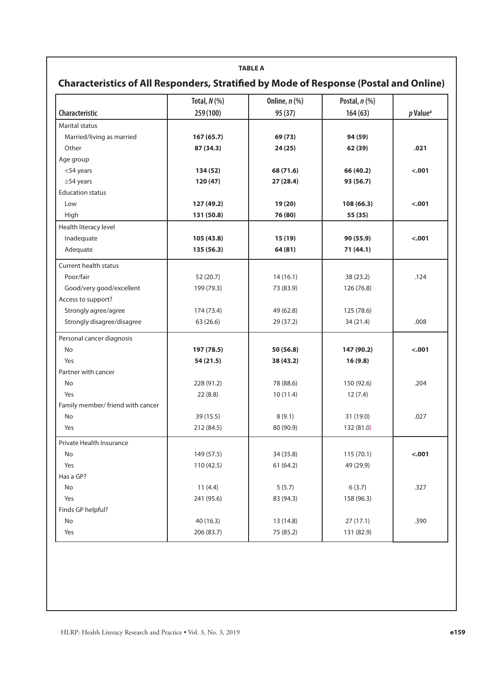#### **TABLE A**

## **Characteristics of All Responders, Stratified by Mode of Response (Postal and Online)**

|                                   | Total, $N$ (%) | Online, $n$ (%) | Postal, n (%) |                      |
|-----------------------------------|----------------|-----------------|---------------|----------------------|
| <b>Characteristic</b>             | 259 (100)      | 95 (37)         | 164(63)       | p Value <sup>a</sup> |
| <b>Marital status</b>             |                |                 |               |                      |
| Married/living as married         | 167 (65.7)     | 69 (73)         | 94 (59)       |                      |
| Other                             | 87 (34.3)      | 24 (25)         | 62 (39)       | .021                 |
| Age group                         |                |                 |               |                      |
| <54 years                         | 134 (52)       | 68 (71.6)       | 66 (40.2)     | $-.001$              |
| $\geq$ 54 years                   | 120 (47)       | 27 (28.4)       | 93 (56.7)     |                      |
| <b>Education status</b>           |                |                 |               |                      |
| Low                               | 127 (49.2)     | 19(20)          | 108(66.3)     | $-.001$              |
| High                              | 131 (50.8)     | 76 (80)         | 55 (35)       |                      |
| Health literacy level             |                |                 |               |                      |
| Inadequate                        | 105 (43.8)     | 15 (19)         | 90 (55.9)     | $-.001$              |
| Adequate                          | 135 (56.3)     | 64 (81)         | 71 (44.1)     |                      |
| <b>Current health status</b>      |                |                 |               |                      |
| Poor/fair                         | 52 (20.7)      | 14(16.1)        | 38 (23.2)     | .124                 |
| Good/very good/excellent          | 199 (79.3)     | 73 (83.9)       | 126 (76.8)    |                      |
| Access to support?                |                |                 |               |                      |
| Strongly agree/agree              | 174 (73.4)     | 49 (62.8)       | 125 (78.6)    |                      |
| Strongly disagree/disagree        | 63 (26.6)      | 29 (37.2)       | 34 (21.4)     | .008                 |
| Personal cancer diagnosis         |                |                 |               |                      |
| No                                | 197 (78.5)     | 50 (56.8)       | 147 (90.2)    | $-.001$              |
| Yes                               | 54 (21.5)      | 38 (43.2)       | 16(9.8)       |                      |
| Partner with cancer               |                |                 |               |                      |
| No                                | 228 (91.2)     | 78 (88.6)       | 150 (92.6)    | .204                 |
| Yes                               | 22(8.8)        | 10(11.4)        | 12(7.4)       |                      |
| Family member/ friend with cancer |                |                 |               |                      |
| No                                | 39 (15.5)      | 8(9.1)          | 31 (19.0)     | .027                 |
| Yes                               | 212 (84.5)     | 80 (90.9)       | 132 (81.0)    |                      |
| Private Health Insurance          |                |                 |               |                      |
| No                                | 149 (57.5)     | 34 (35.8)       | 115(70.1)     | $-.001$              |
| Yes                               | 110(42.5)      | 61 (64.2)       | 49 (29.9)     |                      |
| Has a GP?                         |                |                 |               |                      |
| No                                | 11(4.4)        | 5(5.7)          | 6(3.7)        | .327                 |
| Yes                               | 241 (95.6)     | 83 (94.3)       | 158 (96.3)    |                      |
| Finds GP helpful?                 |                |                 |               |                      |
| No                                | 40 (16.3)      | 13 (14.8)       | 27(17.1)      | .390                 |
| Yes                               | 206 (83.7)     | 75 (85.2)       | 131 (82.9)    |                      |